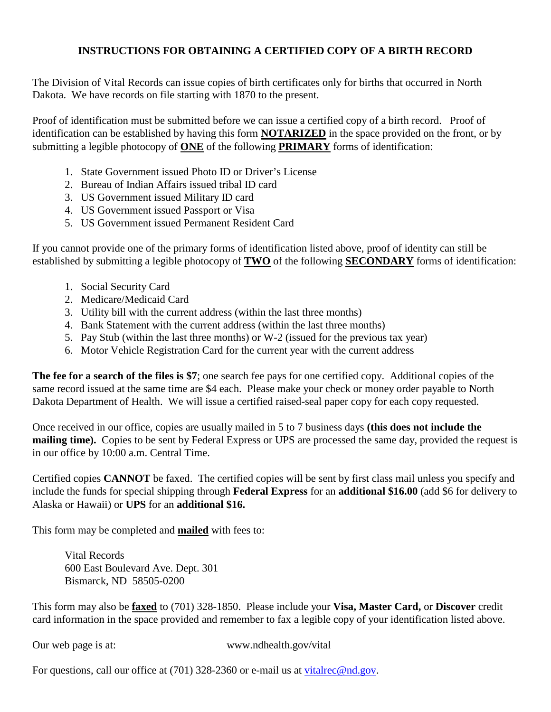## **INSTRUCTIONS FOR OBTAINING A CERTIFIED COPY OF A BIRTH RECORD**

The Division of Vital Records can issue copies of birth certificates only for births that occurred in North Dakota. We have records on file starting with 1870 to the present.

Proof of identification must be submitted before we can issue a certified copy of a birth record. Proof of identification can be established by having this form **NOTARIZED** in the space provided on the front, or by submitting a legible photocopy of **ONE** of the following **PRIMARY** forms of identification:

- 1. State Government issued Photo ID or Driver's License
- 2. Bureau of Indian Affairs issued tribal ID card
- 3. US Government issued Military ID card
- 4. US Government issued Passport or Visa
- 5. US Government issued Permanent Resident Card

If you cannot provide one of the primary forms of identification listed above, proof of identity can still be established by submitting a legible photocopy of **TWO** of the following **SECONDARY** forms of identification:

- 1. Social Security Card
- 2. Medicare/Medicaid Card
- 3. Utility bill with the current address (within the last three months)
- 4. Bank Statement with the current address (within the last three months)
- 5. Pay Stub (within the last three months) or W-2 (issued for the previous tax year)
- 6. Motor Vehicle Registration Card for the current year with the current address

**The fee for a search of the files is \$7**; one search fee pays for one certified copy. Additional copies of the same record issued at the same time are \$4 each. Please make your check or money order payable to North Dakota Department of Health. We will issue a certified raised-seal paper copy for each copy requested.

Once received in our office, copies are usually mailed in 5 to 7 business days **(this does not include the mailing time).** Copies to be sent by Federal Express or UPS are processed the same day, provided the request is in our office by 10:00 a.m. Central Time.

Certified copies **CANNOT** be faxed. The certified copies will be sent by first class mail unless you specify and include the funds for special shipping through **Federal Express** for an **additional \$16.00** (add \$6 for delivery to Alaska or Hawaii) or **UPS** for an **additional \$16.** 

This form may be completed and **mailed** with fees to:

Vital Records 600 East Boulevard Ave. Dept. 301 Bismarck, ND 58505-0200

This form may also be **faxed** to (701) 328-1850. Please include your **Visa, Master Card,** or **Discover** credit card information in the space provided and remember to fax a legible copy of your identification listed above.

Our web page is at: www.ndhealth.gov/vital

For questions, call our office at (701) 328-2360 or e-mail us at [vitalrec@nd.gov.](mailto:vitalrec@nd.gov)